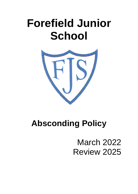# **Forefield Junior School**



# **Absconding Policy**

March 2022 Review 2025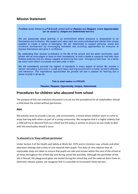# **Mission Statement**

#### Forefield Junior School is a P.R.O.U.D. school built on Passion and Respect, where Opportunities can be seized by Unique and Determined learners.

We are passionate about learning in an environment where everyone is empowered to be themselves and to flourish. We respect and value each and every individual and cherish their unique qualities to create a sense of belonging. We are determined to support personal, social and emotional development by encouraging self-belief and providing opportunities for everyone to express themselves and grow in confidence.

By celebrating their diverse contribution to the life of the school and the wider community, each person will be encouraged to build on their foundations, to instil a belief in everyone that they have limitless potential and are always capable of achieving their best - throughout their lives. As a family we share each other's successes and take pride in them.

We will consistently promote the highest of standards in every aspect of school life, provide a vibrant, stimulating curriculum in a safe and happy learning environment, to foster excellent attitudes and behaviour. The inspirational opportunities we provide will fuel a passion for learning and a sense of pride in all we do.

This is what makes us PROUD:

#### Passion, Respect, Opportunity, Unique, Determined.

# **Procedures for children who abscond from school**

The purpose of this non-statutory document is to set out the procedures for all stakeholders should a child leave the school without permission.

#### **Aim**

We actively work to provide a secure, safe environment, a school where children want to come to enjoy learning with others as part of a caring community. We recognise that it is highly unlikely that a child will try to abscond from our school but this policy is written to ensure we are ready to deal with this eventuality should it occur.

#### **To abscond is to 'leave without permission'**

Under Section 3 of the Health and Safety at Work Act, 1974 and in Common Law, schools and other education settings owe a duty of care towards their pupils. This duty of care requires that all reasonable steps are taken to ensure that pupils are safe and remain within the care of the school at all times throughout the school day and during school led activities. Although the perimeter of the site is fenced, the playground gates are locked during the school day and the external doors have an electronic release system, we recognise that it is possible to circumvent these barriers.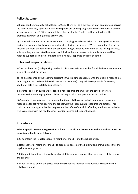## **Policy Statement**

a) Pupils can be brought to school from 8.45am. There will be a member of staff on duty to supervise the doors when they open at 8.45am. Once pupils are on the playground, they are to remain on the school premises until 3.30pm (or until their club has finished) unless authorised to leave the premises as part of an organised activity etc.

b) School will maintain a secure environment. The playground exits (when not in use) will be locked during the normal school day and when feasible, during club sessions. We recognise that for safety reasons, the main exit routes from the school building will not be always be locked (eg at playtime), although they are restricted by an electronic lock with door release button. All attempts will be made to support all children so that they feel happy, supported and safe at school.

## **Roles and Responsibilities**

a) The head teacher (or deputising teacher in his absence) is responsible for all decisions made when a child absconds from school.

b) The class teacher or the teaching assistant (if working independently with the pupil) is responsible for caring for the child (until the child leaves the premises). They will be responsible for seeking additional help if this is felt to be necessary.

c) Parents / carers of pupils are responsible for supporting the work of the school. They are responsible for encouraging their children to keep to all school procedures and policies.

d) Once school has informed the parents that their child has absconded, parents and carers are responsible for actively supporting the school with the subsequent procedures and actions. This could include coming to school to help secure the safety of the child after he / she has absconded as well as meeting with the head teacher in order to agree subsequent actions.

#### **Procedures**

**Where a pupil, present at registration, is found to be absent from school without authorisation the procedures should be as follows:** 

1. CT to inform the Headteacher, or a member of the SLT, and the school office.

2. Headteacher or member of the SLT to organise a search of the building and known places that the pupil may have gone to.

3. If the pupil is not found then all available staff to complete a more thorough sweep of the school and grounds.

4. School office to phone the police when the school and grounds have been fully checked if the child is not found.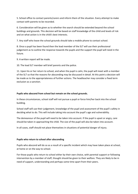5. School office to contact parents/carers and inform them of the situation. Every attempt to make contact with parents to be recorded.

6. Consideration will be given as to whether the search should be extended beyond the school buildings and grounds. This decision will be based on staff knowledge of the child and levels of risk and on what action is in the child's best interests.

7. Any staff who leave the school grounds should take a mobile phone to contact school.

8. Once a pupil has been found then the lead member of the SLT will use their professional judgement as to outline the response towards the pupils and the support the pupil will need in the future.

9. A written report will be made.

10. The lead SLT member will brief parents and the police.

11. Upon his or her return to school, and when the pupil is calm, the pupil will meet with a member of the SLT so that the reasons for absconding may be discussed in detail. At this point a decision will be made as to the appropriateness of further actions. The headteacher may consider a fixed term exclusion as a sanction.

#### **Pupils who abscond from school but remain on the school grounds.**

In these circumstances, school staff will not pursue a pupil or force him/her back into the school building.

School staff will use their judgement, knowledge of the pupil and assessment of the pupil's safety in deciding what to do. This will include taking into account the pupil's age and vulnerability.

The demeanour of the pupil will need to be taken into account. If the pupil is upset or angry, care should be taken in approaching the child. The size of the pupil will also be taken into account.

In all cases, staff should not place themselves in situations of potential danger of injury.

#### **Pupils who return to school after absconding**

Pupils who abscond will do so as a result of a specific incident which may have taken place at school, at home or on the way to school.

For those pupils who return to school either by their own choice, with parental support or following intervention by a member of staff, thought should be given to their welfare. They are likely to be in need of support, understanding and perhaps some time apart from their peers.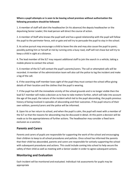#### **Where a pupil attempts or is seen to be leaving school premises without authorisation the following procedure should be followed:**

1. A member of staff will alert the headteacher (in his absence) the deputy headteacher or the deputising Senior Leader; this lead person will direct the course of action.

2. A member of Staff who knows the pupil well and has a good relationship with the pupil will follow the pupil to the perimeter fence, exit or gate and will try to persuade the pupil to stay in the school.

3. As active pursuit may encourage a child to leave the site and may also cause the pupil to panic; possibly putting him or herself at risk by running onto a busy road, staff will not chase but will try to keep a child in sight at a distance.

4. The lead member of the SLT may request additional staff to join the search in a vehicle, taking a mobile phone to contact the school.

5. A member of the SLT will contact the pupil's parents/carers. The call or attempted calls will be recorded. A member of the administration team will also call the police to log the incident and make a log of the call.

6. If the searching staff member loses sight of the pupil they must contact the school office giving details of their location and the clothes that the pupil is wearing.

7. If the pupil has left the immediate vicinity of the school grounds and is no longer visible then the lead SLT member will make a decision as to how to take matters further, which will take into account the age of the pupil, the nature of the incident which led to the pupil absconding, the pupils previous history of being involved in episodes of absconding and their outcomes. If the pupil returns of their own volition, parents/carers and the police will be informed.

8. Upon his or her return to school, and when the pupil is calm, the pupil will meet with a member of the SLT so that the reasons for absconding may be discussed in detail. At this point a decision will be made as to the appropriateness of further actions. The headteacher may consider a fixed term exclusion as a sanction.

# **Parents and Carers**

Parents and carers of pupils are responsible for supporting the work of the school and encouraging their children to keep to all school procedures and policies. Once school has informed the parents that their child has absconded, parents and carers are responsible for actively supporting the school with subsequent procedures and actions. This could include coming into school to help secure the safety of their child as well as meeting with a Senior Leader in order to agree subsequent actions.

# **Monitoring and Evaluation**

Each incident will be monitored and evaluated. Individual risk assessments for pupils may be appropriate